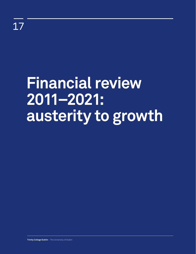# **Financial review 2011–2021: austerity to growth**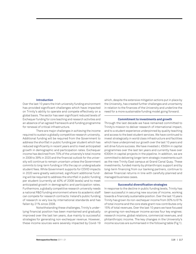## **Introduction**

Over the last 10 years the Irish university funding environment has provided significant challenges which have impacted on Trinity's ability to operate and compete effectively on a global basis. The sector has seen significant reduced levels of Exchequer funding for core teaching and research activities and an absence of an agreed framework and funding programme for renewal of critical infrastructure.

There are major challenges in achieving the income required to sustain a globally competitive research university. Additional funding will be required from the Government to address the shortfall in public funding per student which has reduced significantly in recent years and to meet anticipated growth in demographic and participation rates. Exchequer income has declined from 70% of the university's total income in 2008 to 39% in 2020 and the financial outlook for the university will continue to remain uncertain unless the Government commits to long-term funding or lifts the cap on undergraduate student fees. While Government supports for COVID impacts in 2020 were greatly welcomed, significant additional funding will be required to address the shortfall in public funding per student (currently at 40% of 2008 levels) and to meet anticipated growth in demographic and participation rates. Furthermore, a globally competitive research university needs a national R&D funding environment where its academic staff can compete for research contracts: Ireland's public funding of research is very low by international standards and has fallen by 21% since 2008.

Notwithstanding these challenges, Trinity's underlying financial position has been maintained and gradually improved over the last ten years, due mainly to successful strategies for generating non-exchequer revenue. However, these income sources were severely impacted by Covid-19

which, despite the extensive mitigation actions put in place by the University, has created further challenges and uncertainty in relation to the finances of the University and underline the need for a more sustainable funding model going forward.

### **Commitment to investments and growth**

Through the last decade we have remained committed to Trinity's mission to deliver research of international impact, and to a student experience underpinned by quality teaching and access to the best student services. We have continued to invest strategically in world class infrastructure and facilities which have underpinned our growth over the last 10 years and will drive future success. We have invested c. €500m in capital programmes over the last ten years and currently have over €300m in capital projects in the pipeline. In addition, we are committed to delivering longer term strategic investments such as the new Trinity East campus at Grand Canal Quay. These investments, funded mainly by philanthropic support and by long-term financing from our banking partners, continue to deliver financial returns in line with carefully planned and managed business cases.

## **Successful diversification strategies**

In response to the decline in public funding levels, Trinity has been successful in securing new sources of income, working towards a financially sustainable position. Over the last 10 years Trinity has grown its non-exchequer income from 30% to 61% of total income and the core state grant now contributes only 15% of total revenues. Over the last 10 years we have focused on growing non-exchequer income across four key engines: research income, global relations, commercial revenues, and philanthropic income. The key changes in the University's income sources are summarised in the following table (Fig 1).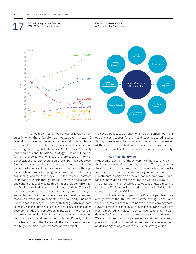**FIG 1** – Primary Income Sources 2008–20 (as % of total income).

17

**FIG 2** – Income Generation

& Diversification Strategies.



The key growth and income diversification strategies in which the University has invested over the past 10 years (Fig 2), have progressed extremely well, contributing a meaningful return on the University's investment. After several years of growth on global relations, in September 2019, Trinity launched its Global Relations Strategy 3, which will deliver further revenue generation into the future based on international student recruitment *and* partnerships in joint degrees. Simultaneously with global relations activities the university committed significant new resources to fundraising through its first Philanthropic Campaign which was launched publicly as *Inspiring Generations* in May 2019. It focuses on investment in staff and students through transformative professorships and scholarships, as well as three major projects: GBHI, E3, the Old Library Redevelopment Project, and the Trinity St James's Cancer Institute. Accompanying these strategies was a planned investment in major capital development and research infrastructure projects. The new Trinity Business School opened in May 2019, driving further growth in student numbers, with the Printing House Square student accommodation development due for completion in late 2021. The University is also developing its vision for a new campus and innovation district at Grand Canal Quay – the Trinity East Project, working in partnership with the State and other key stakeholders on this hugely ambitious and transformative project.

We have also focused strongly on improving efficiency in our operations and support functions and reducing operating costs through investment in best-in-class IT systems and processes. At the core of these strategies has been a commitment to improving the quality of the student experience in the university.

### **Key financial trends**

Prudent management of the University's finances, along with the investments outlined above has enabled Trinity to weather the economic downturn and to put in place the building blocks for long-term, financial sustainability. As a result of these investments, along with a provision for asset renewal, Trinity ran a planned deficit over the course of 5 years (FY14 to FY19). The University implemented strategies to facilitate a return to surplus by FY19, achieving a modest surplus in 2018, which increased to 1.2% in 2019.

The financial impact of the Covid-19 pandemic has clearly affected the 2020 results however (see Fig 3 below), and these impacts will continue to be felt over the coming years. Nevertheless, while challenges remain in achieving the level of income required for a globally competitive research university, demand for Trinity education and research is stronger than ever. We are confident that Trinity's resilience and the strategies in place will support our financial recovery and we remain focused on delivering the objectives in our 5-year Strategic Plan.